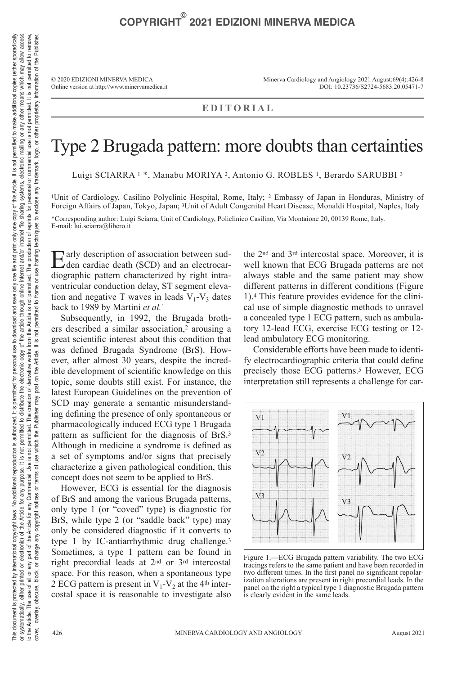© 2020 EDIZIONI MINERVA MEDICA Online version at http://www.minervamedica.it Minerva Cardiology and Angiology 2021 August;69(4):426-8 DOI: 10.23736/S2724-5683.20.05471-7

## **EDITORIAL**

## Type 2 Brugada pattern: more doubts than certainties

Luigi SCIARRA 1 \*, Manabu MORIYA 2, Antonio G. ROBLES 1, Berardo SARUBBI <sup>3</sup>

1Unit of Cardiology, Casilino Polyclinic Hospital, Rome, Italy; 2 Embassy of Japan in Honduras, Ministry of Foreign Affairs of Japan, Tokyo, Japan; 3Unit of Adult Congenital Heart Disease, Monaldi Hospital, Naples, Italy

\*Corresponding author: Luigi Sciarra, Unit of Cardiology, Policlinico Casilino, Via Montaione 20, 00139 Rome, Italy. E-mail: lui.sciarra@libero.it

Early description of association between sud-<br>den cardiac death (SCD) and an electrocardiographic pattern characterized by right intraventricular conduction delay, ST segment elevation and negative T waves in leads  $V_1$ - $V_3$  dates back to 1989 by Martini *et al.*<sup>1</sup>

Subsequently, in 1992, the Brugada brothers described a similar association,2 arousing a great scientific interest about this condition that was defined Brugada Syndrome (BrS). However, after almost 30 years, despite the incredible development of scientific knowledge on this topic, some doubts still exist. For instance, the latest European Guidelines on the prevention of SCD may generate a semantic misunderstanding defining the presence of only spontaneous or pharmacologically induced ECG type 1 Brugada pattern as sufficient for the diagnosis of BrS.<sup>3</sup> Although in medicine a syndrome is defined as a set of symptoms and/or signs that precisely characterize a given pathological condition, this concept does not seem to be applied to BrS.

However, ECG is essential for the diagnosis of BrS and among the various Brugada patterns, only type 1 (or "coved" type) is diagnostic for BrS, while type 2 (or "saddle back" type) may only be considered diagnostic if it converts to type 1 by IC-antiarrhythmic drug challenge.3 Sometimes, a type 1 pattern can be found in right precordial leads at 2nd or 3rd intercostal space. For this reason, when a spontaneous type 2 ECG pattern is present in  $V_1$ - $V_2$  at the 4<sup>th</sup> intercostal space it is reasonable to investigate also

the 2nd and 3rd intercostal space. Moreover, it is well known that ECG Brugada patterns are not always stable and the same patient may show different patterns in different conditions (Figure 1).4 This feature provides evidence for the clinical use of simple diagnostic methods to unravel a concealed type 1 ECG pattern, such as ambulatory 12-lead ECG, exercise ECG testing or 12 lead ambulatory ECG monitoring.

Considerable efforts have been made to identify electrocardiographic criteria that could define precisely those ECG patterns.<sup>5</sup> However, ECG interpretation still represents a challenge for car-



Figure 1.—ECG Brugada pattern variability. The two ECG tracings refers to the same patient and have been recorded in two different times. In the first panel no significant repolarization alterations are present in right precordial leads. In the panel on the right a typical type 1 diagnostic Brugada pattern is clearly evident in the same leads.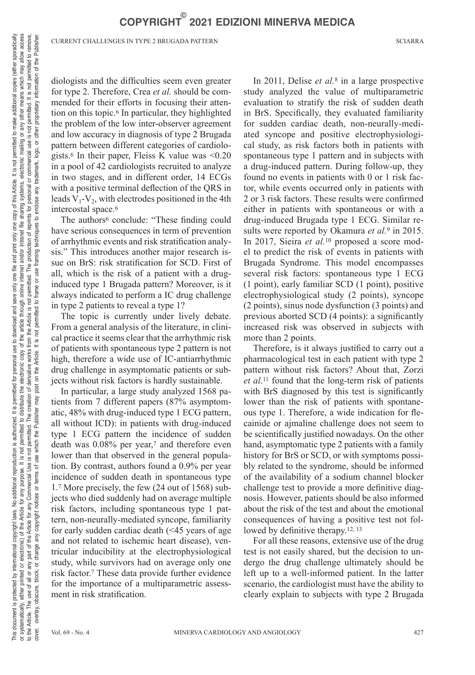CURRENT CHALLENGES IN TYPE 2 BRUGADA PATTERN SCIARRA

diologists and the difficulties seem even greater for type 2. Therefore, Crea *et al.* should be commended for their efforts in focusing their attention on this topic.6 In particular, they highlighted the problem of the low inter-observer agreement and low accuracy in diagnosis of type 2 Brugada pattern between different categories of cardiologists.6 In their paper, Fleiss K value was <0.20 in a pool of 42 cardiologists recruited to analyze in two stages, and in different order, 14 ECGs with a positive terminal deflection of the QRS in leads  $V_1$ - $V_2$ , with electrodes positioned in the 4th intercostal space.6

The authors<sup>6</sup> conclude: "These finding could have serious consequences in term of prevention of arrhythmic events and risk stratification analysis." This introduces another major research issue on BrS: risk stratification for SCD. First of all, which is the risk of a patient with a druginduced type 1 Brugada pattern? Moreover, is it always indicated to perform a IC drug challenge in type 2 patients to reveal a type 1?

The topic is currently under lively debate. From a general analysis of the literature, in clinical practice it seems clear that the arrhythmic risk of patients with spontaneous type 2 pattern is not high, therefore a wide use of IC-antiarrhythmic drug challenge in asymptomatic patients or subjects without risk factors is hardly sustainable.

In particular, a large study analyzed 1568 patients from 7 different papers (87% asymptomatic, 48% with drug-induced type 1 ECG pattern, all without ICD): in patients with drug-induced type 1 ECG pattern the incidence of sudden death was 0.08% per year,7 and therefore even lower than that observed in the general population. By contrast, authors found a 0.9% per year incidence of sudden death in spontaneous type 1.7 More precisely, the few (24 out of 1568) subjects who died suddenly had on average multiple risk factors, including spontaneous type 1 pattern, non-neurally-mediated syncope, familiarity for early sudden cardiac death (<45 years of age and not related to ischemic heart disease), ventricular inducibility at the electrophysiological study, while survivors had on average only one risk factor.7 These data provide further evidence for the importance of a multiparametric assessment in risk stratification.

In 2011, Delise *et al.*8 in a large prospective study analyzed the value of multiparametric evaluation to stratify the risk of sudden death in BrS. Specifically, they evaluated familiarity for sudden cardiac death, non-neurally-mediated syncope and positive electrophysiological study, as risk factors both in patients with spontaneous type 1 pattern and in subjects with a drug-induced pattern. During follow-up, they found no events in patients with 0 or 1 risk factor, while events occurred only in patients with 2 or 3 risk factors. These results were confirmed either in patients with spontaneous or with a drug-induced Brugada type 1 ECG. Similar results were reported by Okamura *et al.*9 in 2015. In 2017, Sieira *et al.*10 proposed a score model to predict the risk of events in patients with Brugada Syndrome. This model encompasses several risk factors: spontaneous type 1 ECG (1 point), early familiar SCD (1 point), positive electrophysiological study (2 points), syncope (2 points), sinus node dysfunction (3 points) and previous aborted SCD (4 points): a significantly increased risk was observed in subjects with more than 2 points.

Therefore, is it always justified to carry out a pharmacological test in each patient with type 2 pattern without risk factors? About that, Zorzi *et al*.11 found that the long-term risk of patients with BrS diagnosed by this test is significantly lower than the risk of patients with spontaneous type 1. Therefore, a wide indication for flecainide or ajmaline challenge does not seem to be scientifically justified nowadays. On the other hand, asymptomatic type 2 patients with a family history for BrS or SCD, or with symptoms possibly related to the syndrome, should be informed of the availability of a sodium channel blocker challenge test to provide a more definitive diagnosis. However, patients should be also informed about the risk of the test and about the emotional consequences of having a positive test not followed by definitive therapy.<sup>12, 13</sup>

For all these reasons, extensive use of the drug test is not easily shared, but the decision to undergo the drug challenge ultimately should be left up to a well-informed patient. In the latter scenario, the cardiologist must have the ability to clearly explain to subjects with type 2 Brugada

 $\overline{\sigma}$